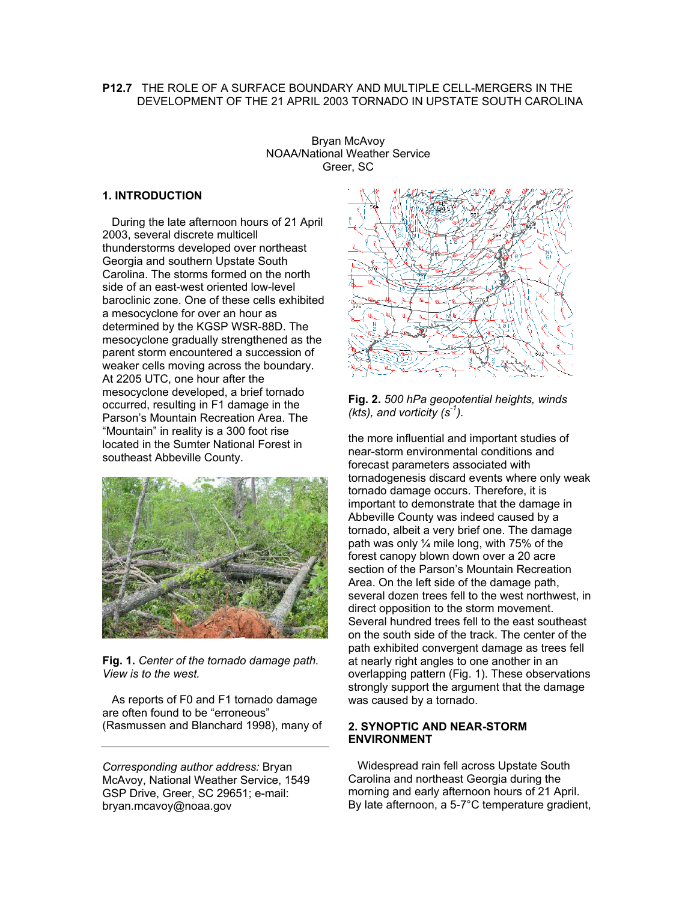# **P12.7** THE ROLE OF A SURFACE BOUNDARY AND MULTIPLE CELL-MERGERS IN THE DEVELOPMENT OF THE 21 APRIL 2003 TORNADO IN UPSTATE SOUTH CAROLINA

Bryan McAvoy NOAA/National Weather Service Greer, SC

## **1. INTRODUCTION**

 During the late afternoon hours of 21 April 2003, several discrete multicell thunderstorms developed over northeast Georgia and southern Upstate South Carolina. The storms formed on the north side of an east-west oriented low-level baroclinic zone. One of these cells exhibited a mesocyclone for over an hour as determined by the KGSP WSR-88D. The mesocyclone gradually strengthened as the parent storm encountered a succession of weaker cells moving across the boundary. At 2205 UTC, one hour after the mesocyclone developed, a brief tornado occurred, resulting in F1 damage in the Parson's Mountain Recreation Area. The "Mountain" in reality is a 300 foot rise located in the Sumter National Forest in southeast Abbeville County.



**Fig. 1.** *Center of the tornado damage path. View is to the west.*

 As reports of F0 and F1 tornado damage are often found to be "erroneous" (Rasmussen and Blanchard 1998), many of

*Corresponding author address:* Bryan McAvoy, National Weather Service, 1549 GSP Drive, Greer, SC 29651; e-mail: bryan.mcavoy@noaa.gov



**Fig. 2.** *500 hPa geopotential heights, winds (kts), and vorticity (s-1).*

the more influential and important studies of near-storm environmental conditions and forecast parameters associated with tornadogenesis discard events where only weak tornado damage occurs. Therefore, it is important to demonstrate that the damage in Abbeville County was indeed caused by a tornado, albeit a very brief one. The damage path was only ¼ mile long, with 75% of the forest canopy blown down over a 20 acre section of the Parson's Mountain Recreation Area. On the left side of the damage path, several dozen trees fell to the west northwest, in direct opposition to the storm movement. Several hundred trees fell to the east southeast on the south side of the track. The center of the path exhibited convergent damage as trees fell at nearly right angles to one another in an overlapping pattern (Fig. 1). These observations strongly support the argument that the damage was caused by a tornado.

## **2. SYNOPTIC AND NEAR-STORM ENVIRONMENT**

 Widespread rain fell across Upstate South Carolina and northeast Georgia during the morning and early afternoon hours of 21 April. By late afternoon, a 5-7°C temperature gradient,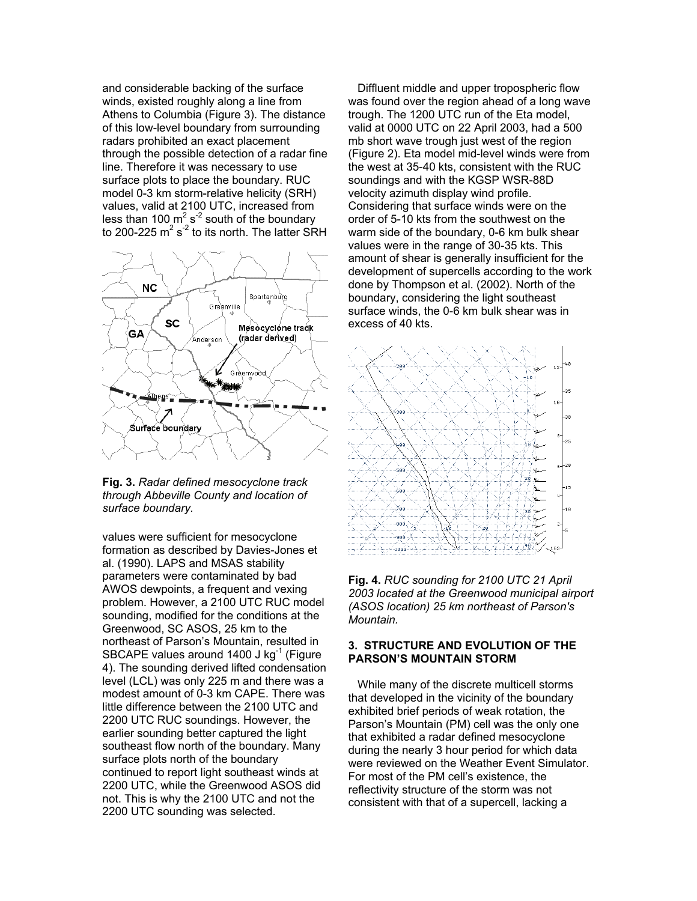and considerable backing of the surface winds, existed roughly along a line from Athens to Columbia (Figure 3). The distance of this low-level boundary from surrounding radars prohibited an exact placement through the possible detection of a radar fine line. Therefore it was necessary to use surface plots to place the boundary. RUC model 0-3 km storm-relative helicity (SRH) values, valid at 2100 UTC, increased from less than 100  $\text{m}^2$  s<sup>-2</sup> south of the boundary to 200-225  $m^2 s^2$  to its north. The latter SRH



**Fig. 3.** *Radar defined mesocyclone track through Abbeville County and location of surface boundary.*

values were sufficient for mesocyclone formation as described by Davies-Jones et al. (1990). LAPS and MSAS stability parameters were contaminated by bad AWOS dewpoints, a frequent and vexing problem. However, a 2100 UTC RUC model sounding, modified for the conditions at the Greenwood, SC ASOS, 25 km to the northeast of Parson's Mountain, resulted in SBCAPE values around  $1400$  J kg<sup>-1</sup> (Figure 4). The sounding derived lifted condensation level (LCL) was only 225 m and there was a modest amount of 0-3 km CAPE. There was little difference between the 2100 UTC and 2200 UTC RUC soundings. However, the earlier sounding better captured the light southeast flow north of the boundary. Many surface plots north of the boundary continued to report light southeast winds at 2200 UTC, while the Greenwood ASOS did not. This is why the 2100 UTC and not the 2200 UTC sounding was selected.

 Diffluent middle and upper tropospheric flow was found over the region ahead of a long wave trough. The 1200 UTC run of the Eta model, valid at 0000 UTC on 22 April 2003, had a 500 mb short wave trough just west of the region (Figure 2). Eta model mid-level winds were from the west at 35-40 kts, consistent with the RUC soundings and with the KGSP WSR-88D velocity azimuth display wind profile. Considering that surface winds were on the order of 5-10 kts from the southwest on the warm side of the boundary, 0-6 km bulk shear values were in the range of 30-35 kts. This amount of shear is generally insufficient for the development of supercells according to the work done by Thompson et al. (2002). North of the boundary, considering the light southeast surface winds, the 0-6 km bulk shear was in excess of 40 kts.



**Fig. 4.** *RUC sounding for 2100 UTC 21 April 2003 located at the Greenwood municipal airport (ASOS location) 25 km northeast of Parson's Mountain.*

# **3. STRUCTURE AND EVOLUTION OF THE PARSON'S MOUNTAIN STORM**

 While many of the discrete multicell storms that developed in the vicinity of the boundary exhibited brief periods of weak rotation, the Parson's Mountain (PM) cell was the only one that exhibited a radar defined mesocyclone during the nearly 3 hour period for which data were reviewed on the Weather Event Simulator. For most of the PM cell's existence, the reflectivity structure of the storm was not consistent with that of a supercell, lacking a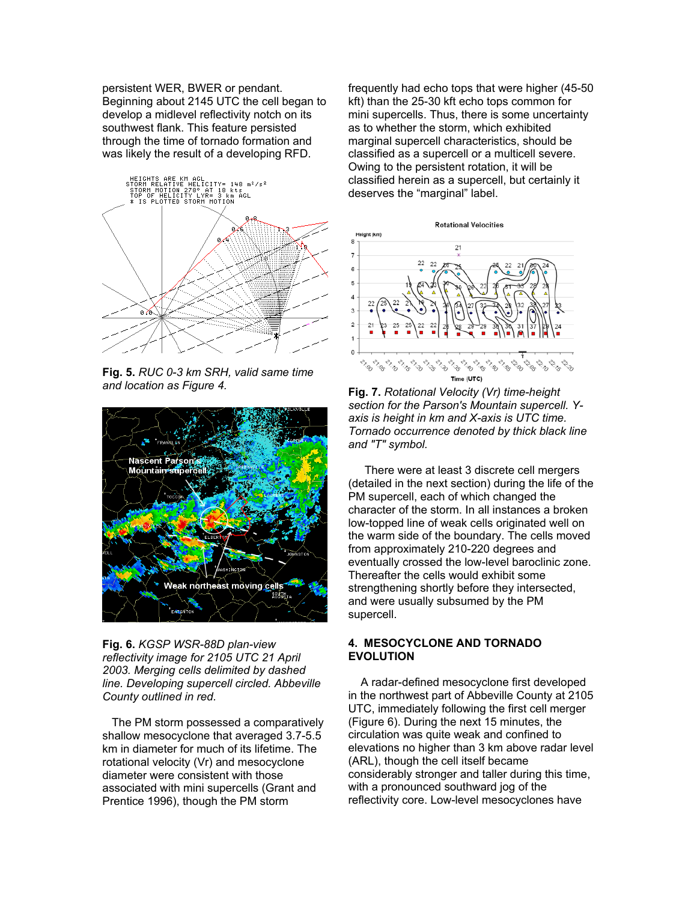persistent WER, BWER or pendant. Beginning about 2145 UTC the cell began to develop a midlevel reflectivity notch on its southwest flank. This feature persisted through the time of tornado formation and was likely the result of a developing RFD.



**Fig. 5.** *RUC 0-3 km SRH, valid same time and location as Figure 4.*



**Fig. 6.** *KGSP WSR-88D plan-view reflectivity image for 2105 UTC 21 April 2003. Merging cells delimited by dashed line. Developing supercell circled. Abbeville County outlined in red.*

 The PM storm possessed a comparatively shallow mesocyclone that averaged 3.7-5.5 km in diameter for much of its lifetime. The rotational velocity (Vr) and mesocyclone diameter were consistent with those associated with mini supercells (Grant and Prentice 1996), though the PM storm

frequently had echo tops that were higher (45-50 kft) than the 25-30 kft echo tops common for mini supercells. Thus, there is some uncertainty as to whether the storm, which exhibited marginal supercell characteristics, should be classified as a supercell or a multicell severe. Owing to the persistent rotation, it will be classified herein as a supercell, but certainly it deserves the "marginal" label.



**Fig. 7.** *Rotational Velocity (Vr) time-height section for the Parson's Mountain supercell. Yaxis is height in km and X-axis is UTC time. Tornado occurrence denoted by thick black line and "T" symbol.*

 There were at least 3 discrete cell mergers (detailed in the next section) during the life of the PM supercell, each of which changed the character of the storm. In all instances a broken low-topped line of weak cells originated well on the warm side of the boundary. The cells moved from approximately 210-220 degrees and eventually crossed the low-level baroclinic zone. Thereafter the cells would exhibit some strengthening shortly before they intersected, and were usually subsumed by the PM supercell.

## **4. MESOCYCLONE AND TORNADO EVOLUTION**

 A radar-defined mesocyclone first developed in the northwest part of Abbeville County at 2105 UTC, immediately following the first cell merger (Figure 6). During the next 15 minutes, the circulation was quite weak and confined to elevations no higher than 3 km above radar level (ARL), though the cell itself became considerably stronger and taller during this time, with a pronounced southward jog of the reflectivity core. Low-level mesocyclones have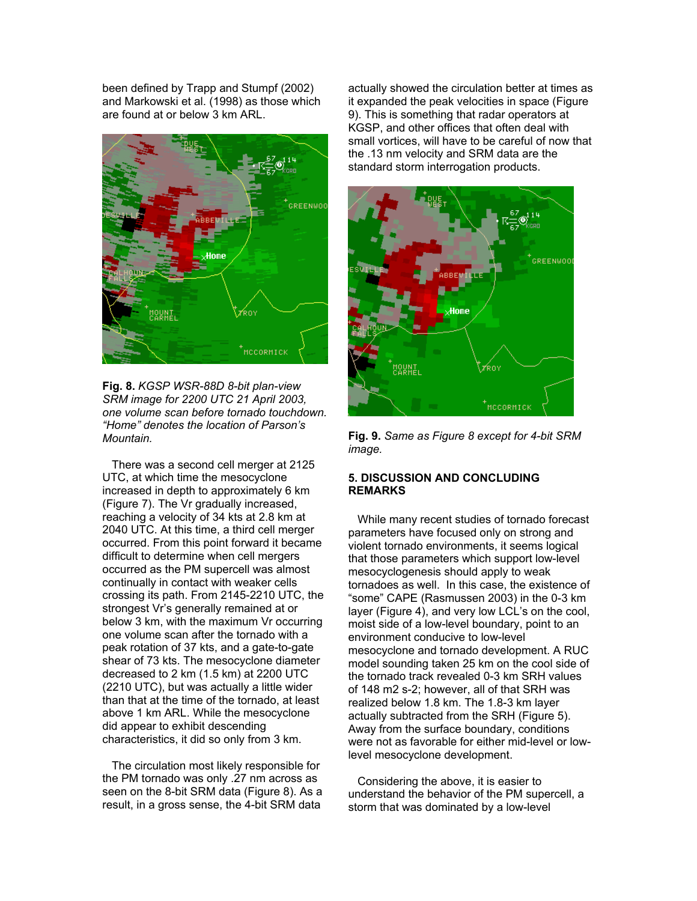been defined by Trapp and Stumpf (2002) and Markowski et al. (1998) as those which are found at or below 3 km ARL.



**Fig. 8.** *KGSP WSR-88D 8-bit plan-view SRM image for 2200 UTC 21 April 2003, one volume scan before tornado touchdown. "Home" denotes the location of Parson's Mountain.* 

 There was a second cell merger at 2125 UTC, at which time the mesocyclone increased in depth to approximately 6 km (Figure 7). The Vr gradually increased, reaching a velocity of 34 kts at 2.8 km at 2040 UTC. At this time, a third cell merger occurred. From this point forward it became difficult to determine when cell mergers occurred as the PM supercell was almost continually in contact with weaker cells crossing its path. From 2145-2210 UTC, the strongest Vr's generally remained at or below 3 km, with the maximum Vr occurring one volume scan after the tornado with a peak rotation of 37 kts, and a gate-to-gate shear of 73 kts. The mesocyclone diameter decreased to 2 km (1.5 km) at 2200 UTC (2210 UTC), but was actually a little wider than that at the time of the tornado, at least above 1 km ARL. While the mesocyclone did appear to exhibit descending characteristics, it did so only from 3 km.

 The circulation most likely responsible for the PM tornado was only .27 nm across as seen on the 8-bit SRM data (Figure 8). As a result, in a gross sense, the 4-bit SRM data

actually showed the circulation better at times as it expanded the peak velocities in space (Figure 9). This is something that radar operators at KGSP, and other offices that often deal with small vortices, will have to be careful of now that the .13 nm velocity and SRM data are the standard storm interrogation products.



**Fig. 9.** *Same as Figure 8 except for 4-bit SRM image.*

## **5. DISCUSSION AND CONCLUDING REMARKS**

 While many recent studies of tornado forecast parameters have focused only on strong and violent tornado environments, it seems logical that those parameters which support low-level mesocyclogenesis should apply to weak tornadoes as well. In this case, the existence of "some" CAPE (Rasmussen 2003) in the 0-3 km layer (Figure 4), and very low LCL's on the cool, moist side of a low-level boundary, point to an environment conducive to low-level mesocyclone and tornado development. A RUC model sounding taken 25 km on the cool side of the tornado track revealed 0-3 km SRH values of 148 m2 s-2; however, all of that SRH was realized below 1.8 km. The 1.8-3 km layer actually subtracted from the SRH (Figure 5). Away from the surface boundary, conditions were not as favorable for either mid-level or lowlevel mesocyclone development.

 Considering the above, it is easier to understand the behavior of the PM supercell, a storm that was dominated by a low-level